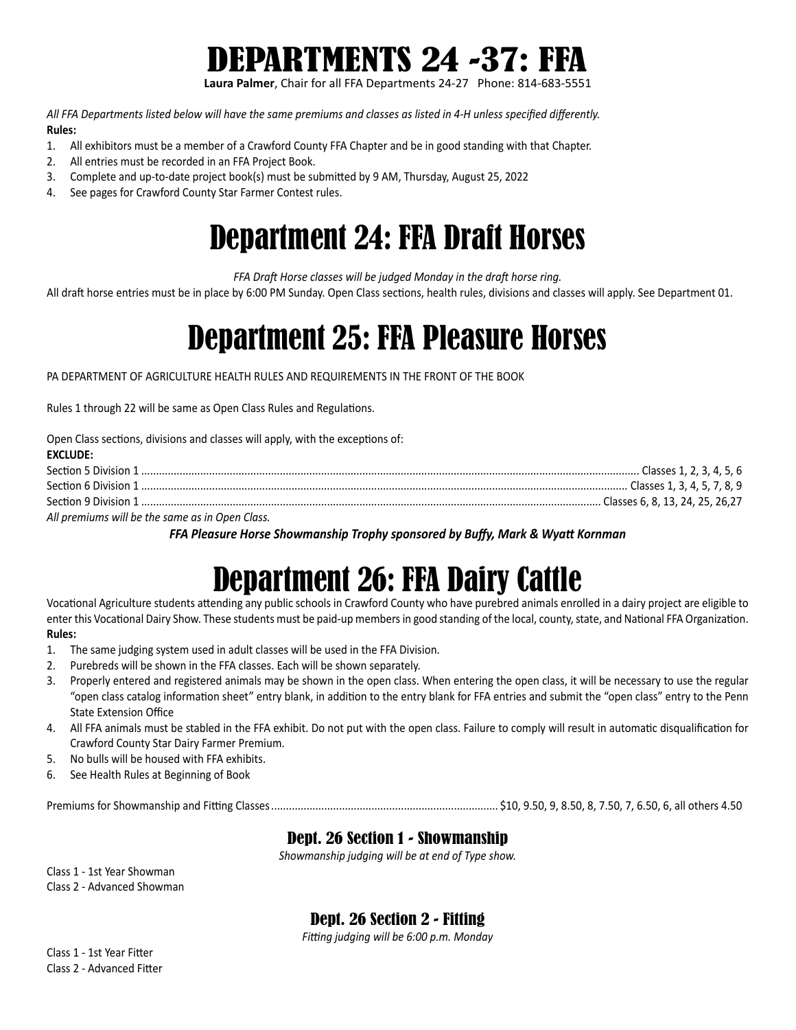

**Laura Palmer**, Chair for all FFA Departments 24-27 Phone: 814-683-5551

*All FFA Departments listed below will have the same premiums and classes as listed in 4-H unless specified differently.* **Rules:**

- 1. All exhibitors must be a member of a Crawford County FFA Chapter and be in good standing with that Chapter.
- 2. All entries must be recorded in an FFA Project Book.
- 3. Complete and up-to-date project book(s) must be submitted by 9 AM, Thursday, August 25, 2022
- 4. See pages for Crawford County Star Farmer Contest rules.

## Department 24: FFA Draft Horses

*FFA Draft Horse classes will be judged Monday in the draft horse ring.*

All draft horse entries must be in place by 6:00 PM Sunday. Open Class sections, health rules, divisions and classes will apply. See Department 01.

## Department 25: FFA Pleasure Horses

PA DEPARTMENT OF AGRICULTURE HEALTH RULES AND REQUIREMENTS IN THE FRONT OF THE BOOK

Rules 1 through 22 will be same as Open Class Rules and Regulations.

Open Class sections, divisions and classes will apply, with the exceptions of:

| <b>EXCLUDE:</b>                                 |  |
|-------------------------------------------------|--|
|                                                 |  |
|                                                 |  |
|                                                 |  |
| All premiums will be the same as in Open Class. |  |

*FFA Pleasure Horse Showmanship Trophy sponsored by Buffy, Mark & Wyatt Kornman*

## Department 26: FFA Dairy Cattle

Vocational Agriculture students attending any public schools in Crawford County who have purebred animals enrolled in a dairy project are eligible to enter this Vocational Dairy Show. These students must be paid-up members in good standing of the local, county, state, and National FFA Organization. **Rules:**

- 1. The same judging system used in adult classes will be used in the FFA Division.
- 2. Purebreds will be shown in the FFA classes. Each will be shown separately.
- 3. Properly entered and registered animals may be shown in the open class. When entering the open class, it will be necessary to use the regular "open class catalog information sheet" entry blank, in addition to the entry blank for FFA entries and submit the "open class" entry to the Penn State Extension Office
- 4. All FFA animals must be stabled in the FFA exhibit. Do not put with the open class. Failure to comply will result in automatic disqualification for Crawford County Star Dairy Farmer Premium.
- 5. No bulls will be housed with FFA exhibits.
- 6. See Health Rules at Beginning of Book

Premiums for Showmanship and Fitting Classes............................................................................. \$10, 9.50, 9, 8.50, 8, 7.50, 7, 6.50, 6, all others 4.50

### Dept. 26 Section 1 - Showmanship

*Showmanship judging will be at end of Type show.*

Class 1 - 1st Year Showman Class 2 - Advanced Showman

Dept. 26 Section 2 - Fitting

*Fitting judging will be 6:00 p.m. Monday*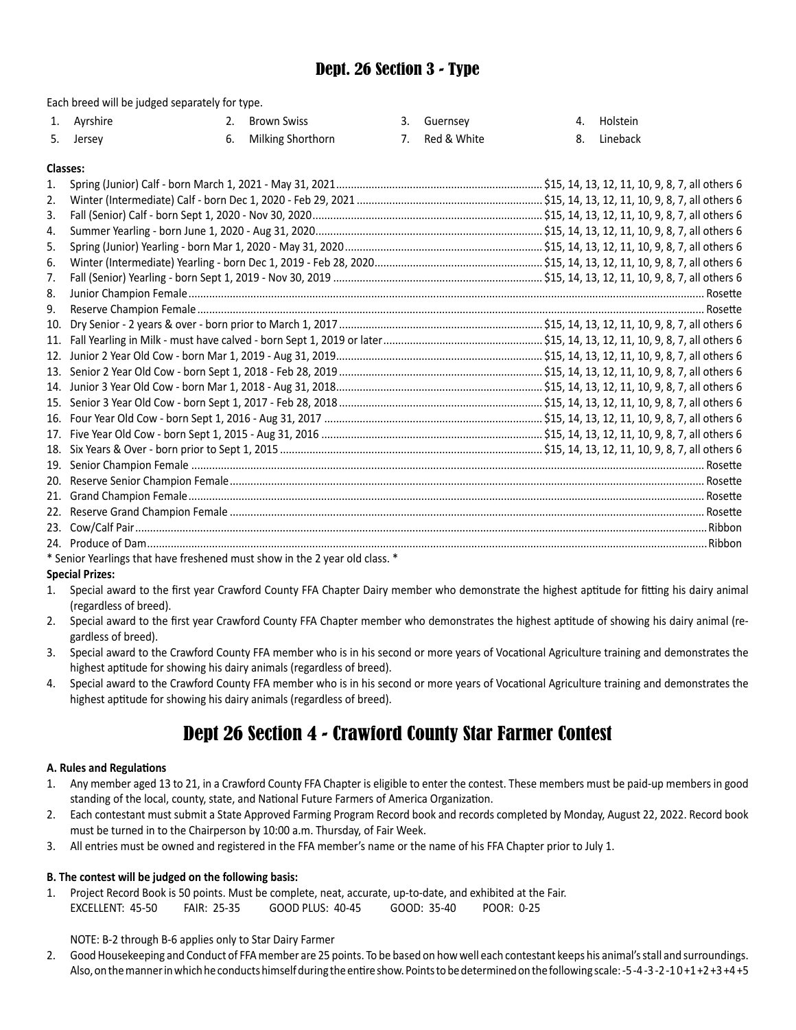### Dept. 26 Section 3 - Type

Each breed will be judged separately for type.

| 1. Ayrshire | 2. Brown Swiss       | 3. Guernsey    | 4. Holstein |
|-------------|----------------------|----------------|-------------|
| 5. Jersey   | 6. Milking Shorthorn | 7. Red & White | 8. Lineback |

#### **Classes:**

| 2.  |  |
|-----|--|
| 3.  |  |
| 4.  |  |
| 5.  |  |
| 6.  |  |
| 7.  |  |
| 8.  |  |
| 9.  |  |
| 10. |  |
| 11. |  |
| 12. |  |
| 13. |  |
| 14. |  |
| 15. |  |
| 16. |  |
| 17. |  |
| 18. |  |
| 19. |  |
| 20. |  |
| 21. |  |
| 22. |  |
| 23. |  |
|     |  |
|     |  |

\* Senior Yearlings that have freshened must show in the 2 year old class. \*

### **Special Prizes:**

- 1. Special award to the first year Crawford County FFA Chapter Dairy member who demonstrate the highest aptitude for fitting his dairy animal (regardless of breed).
- 2. Special award to the first year Crawford County FFA Chapter member who demonstrates the highest aptitude of showing his dairy animal (regardless of breed).
- 3. Special award to the Crawford County FFA member who is in his second or more years of Vocational Agriculture training and demonstrates the highest aptitude for showing his dairy animals (regardless of breed).
- 4. Special award to the Crawford County FFA member who is in his second or more years of Vocational Agriculture training and demonstrates the highest aptitude for showing his dairy animals (regardless of breed).

### Dept 26 Section 4 - Crawford County Star Farmer Contest

#### **A. Rules and Regulations**

- 1. Any member aged 13 to 21, in a Crawford County FFA Chapter is eligible to enter the contest. These members must be paid-up members in good standing of the local, county, state, and National Future Farmers of America Organization.
- 2. Each contestant must submit a State Approved Farming Program Record book and records completed by Monday, August 22, 2022. Record book must be turned in to the Chairperson by 10:00 a.m. Thursday, of Fair Week.
- 3. All entries must be owned and registered in the FFA member's name or the name of his FFA Chapter prior to July 1.

### **B. The contest will be judged on the following basis:**

1. Project Record Book is 50 points. Must be complete, neat, accurate, up-to-date, and exhibited at the Fair. EXCELLENT: 45-50 FAIR: 25-35 GOOD PLUS: 40-45 GOOD: 35-40 POOR: 0-25

NOTE: B-2 through B-6 applies only to Star Dairy Farmer

2. Good Housekeeping and Conduct of FFA member are 25 points. To be based on how well each contestant keeps his animal's stall and surroundings. Also, on the manner in which he conducts himself during the entire show. Points to be determined on the following scale: -5 -4 -3 -2 -1 0 +1 +2 +3 +4 +5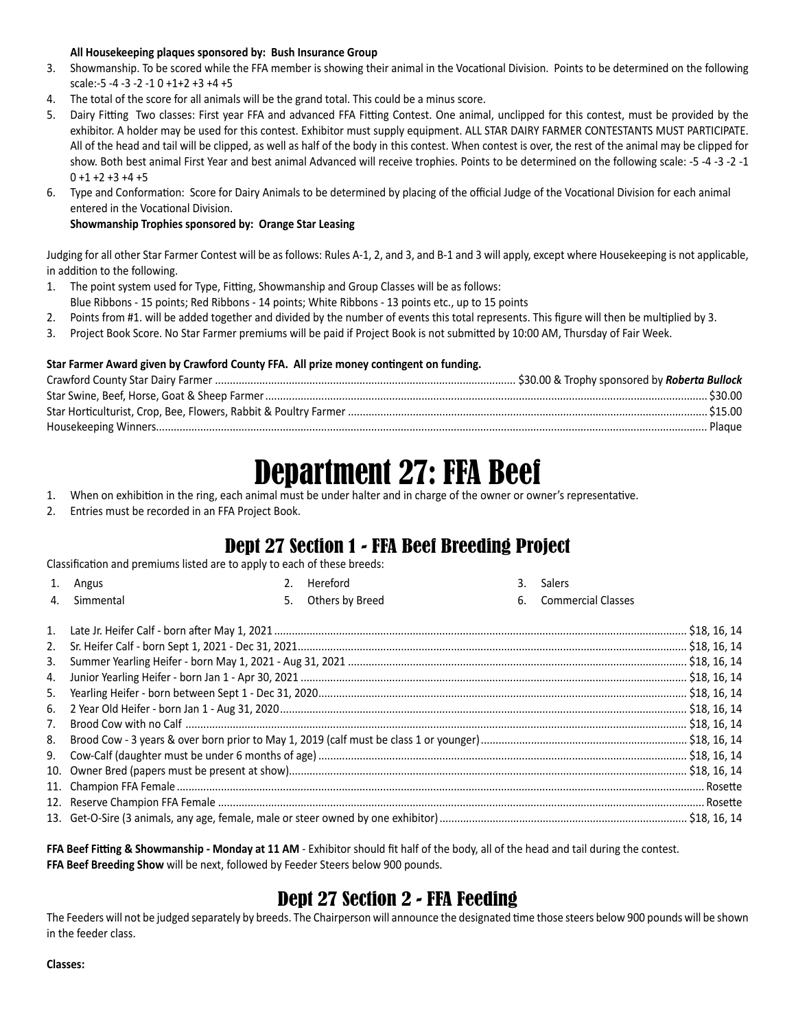#### **All Housekeeping plaques sponsored by: Bush Insurance Group**

- 3. Showmanship. To be scored while the FFA member is showing their animal in the Vocational Division. Points to be determined on the following scale:-5 -4 -3 -2 -1 0 +1+2 +3 +4 +5
- 4. The total of the score for all animals will be the grand total. This could be a minus score.
- 5. Dairy Fitting Two classes: First year FFA and advanced FFA Fitting Contest. One animal, unclipped for this contest, must be provided by the exhibitor. A holder may be used for this contest. Exhibitor must supply equipment. ALL STAR DAIRY FARMER CONTESTANTS MUST PARTICIPATE. All of the head and tail will be clipped, as well as half of the body in this contest. When contest is over, the rest of the animal may be clipped for show. Both best animal First Year and best animal Advanced will receive trophies. Points to be determined on the following scale: -5 -4 -3 -2 -1  $0 + 1 + 2 + 3 + 4 + 5$
- 6. Type and Conformation: Score for Dairy Animals to be determined by placing of the official Judge of the Vocational Division for each animal entered in the Vocational Division.

### **Showmanship Trophies sponsored by: Orange Star Leasing**

Judging for all other Star Farmer Contest will be as follows: Rules A-1, 2, and 3, and B-1 and 3 will apply, except where Housekeeping is not applicable, in addition to the following.

1. The point system used for Type, Fitting, Showmanship and Group Classes will be as follows:

Blue Ribbons - 15 points; Red Ribbons - 14 points; White Ribbons - 13 points etc., up to 15 points

- 2. Points from #1. will be added together and divided by the number of events this total represents. This figure will then be multiplied by 3.
- 3. Project Book Score. No Star Farmer premiums will be paid if Project Book is not submitted by 10:00 AM, Thursday of Fair Week.

### **Star Farmer Award given by Crawford County FFA. All prize money contingent on funding.**

| Plague |
|--------|

## Department 27: FFA Beef

- 1. When on exhibition in the ring, each animal must be under halter and in charge of the owner or owner's representative.
- 2. Entries must be recorded in an FFA Project Book.

### Dept 27 Section 1 - FFA Beef Breeding Project

Classification and premiums listed are to apply to each of these breeds:

|    | 1. Angus     | Hereford           | 3. | Salers                |  |
|----|--------------|--------------------|----|-----------------------|--|
|    | 4. Simmental | 5. Others by Breed |    | 6. Commercial Classes |  |
|    |              |                    |    |                       |  |
|    |              |                    |    |                       |  |
|    |              |                    |    |                       |  |
|    |              |                    |    |                       |  |
| 5. |              |                    |    |                       |  |
|    |              |                    |    |                       |  |
| 7. |              |                    |    |                       |  |
| 8. |              |                    |    |                       |  |
|    |              |                    |    |                       |  |
|    |              |                    |    |                       |  |
|    |              |                    |    |                       |  |
|    |              |                    |    |                       |  |
|    |              |                    |    |                       |  |

**FFA Beef Fitting & Showmanship - Monday at 11 AM** - Exhibitor should fit half of the body, all of the head and tail during the contest. **FFA Beef Breeding Show** will be next, followed by Feeder Steers below 900 pounds.

### Dept 27 Section 2 - FFA Feeding

The Feeders will not be judged separately by breeds. The Chairperson will announce the designated time those steers below 900 pounds will be shown in the feeder class.

#### **Classes:**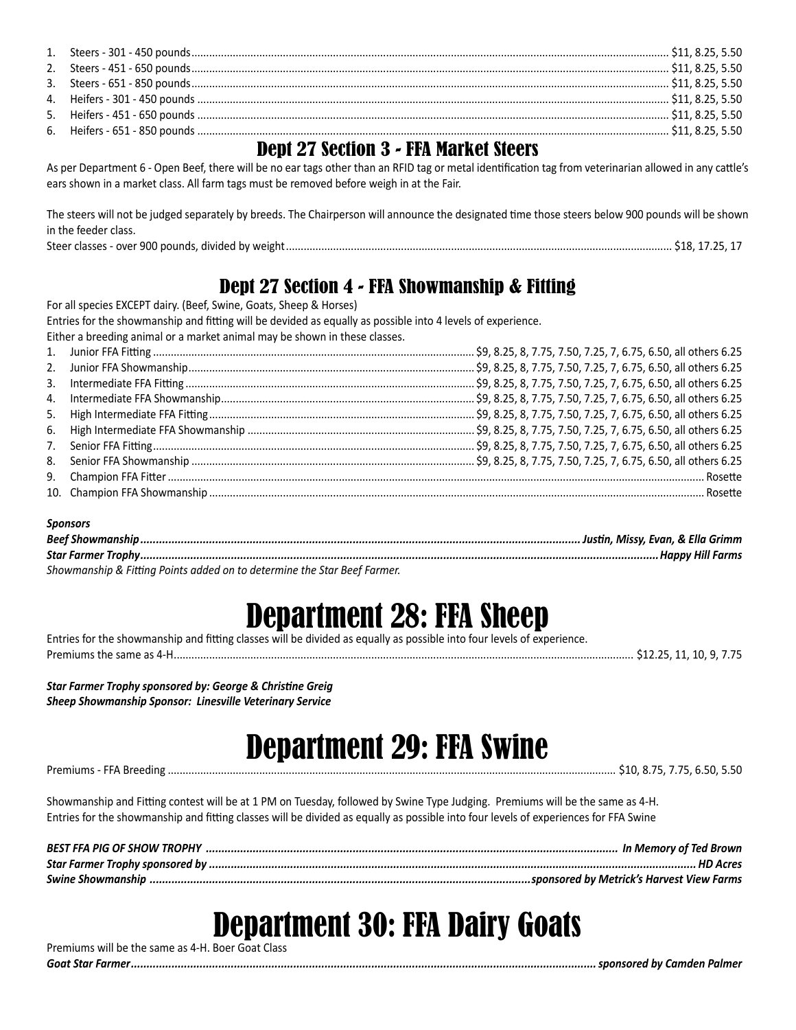### Dept 27 Section 3 - FFA Market Steers

As per Department 6 - Open Beef, there will be no ear tags other than an RFID tag or metal identification tag from veterinarian allowed in any cattle's ears shown in a market class. All farm tags must be removed before weigh in at the Fair.

The steers will not be judged separately by breeds. The Chairperson will announce the designated time those steers below 900 pounds will be shown in the feeder class. Steer classes - over 900 pounds, divided by weight................................................................................................................................... \$18, 17.25, 17

### Dept 27 Section 4 - FFA Showmanship & Fitting

For all species EXCEPT dairy. (Beef, Swine, Goats, Sheep & Horses)

Entries for the showmanship and fitting will be devided as equally as possible into 4 levels of experience.

Either a breeding animal or a market animal may be shown in these classes. 1. Junior FFA Fitting ............................................................................................................. \$9, 8.25, 8, 7.75, 7.50, 7.25, 7, 6.75, 6.50, all others 6.25 2. Junior FFA Showmanship................................................................................................. \$9, 8.25, 8, 7.75, 7.50, 7.25, 7, 6.75, 6.50, all others 6.25 3. Intermediate FFA Fitting .................................................................................................. \$9, 8.25, 8, 7.75, 7.50, 7.25, 7, 6.75, 6.50, all others 6.25 4. Intermediate FFA Showmanship...................................................................................... \$9, 8.25, 8, 7.75, 7.50, 7.25, 7, 6.75, 6.50, all others 6.25 5. High Intermediate FFA Fitting.......................................................................................... \$9, 8.25, 8, 7.75, 7.50, 7.25, 7, 6.75, 6.50, all others 6.25 6. High Intermediate FFA Showmanship ............................................................................. \$9, 8.25, 8, 7.75, 7.50, 7.25, 7, 6.75, 6.50, all others 6.25 7. Senior FFA Fitting............................................................................................................. \$9, 8.25, 8, 7.75, 7.50, 7.25, 7, 6.75, 6.50, all others 6.25 8. Senior FFA Showmanship ................................................................................................ \$9, 8.25, 8, 7.75, 7.50, 7.25, 7, 6.75, 6.50, all others 6.25 9. Champion FFA Fitter...................................................................................................................................................................................... Rosette 10. Champion FFA Showmanship ........................................................................................................................................................................ Rosette

### *Sponsors*

| Beef Showmans<br>Justin. Missy. Evan. & Ella Grimm |  |
|----------------------------------------------------|--|
| <b>Star Farmer Trophy</b>                          |  |

*Showmanship & Fitting Points added on to determine the Star Beef Farmer.*

## Department 28: FFA Sheep

Entries for the showmanship and fitting classes will be divided as equally as possible into four levels of experience. Premiums the same as 4-H............................................................................................................................................................ \$12.25, 11, 10, 9, 7.75

*Star Farmer Trophy sponsored by: George & Christine Greig*

### *Sheep Showmanship Sponsor: Linesville Veterinary Service*

# Department 29: FFA Swine

#### Premiums - FFA Breeding ........................................................................................................................................................ \$10, 8.75, 7.75, 6.50, 5.50

Showmanship and Fitting contest will be at 1 PM on Tuesday, followed by Swine Type Judging. Premiums will be the same as 4-H. Entries for the showmanship and fitting classes will be divided as equally as possible into four levels of experiences for FFA Swine

## Department 30: FFA Dairy Goats

Premiums will be the same as 4-H. Boer Goat Class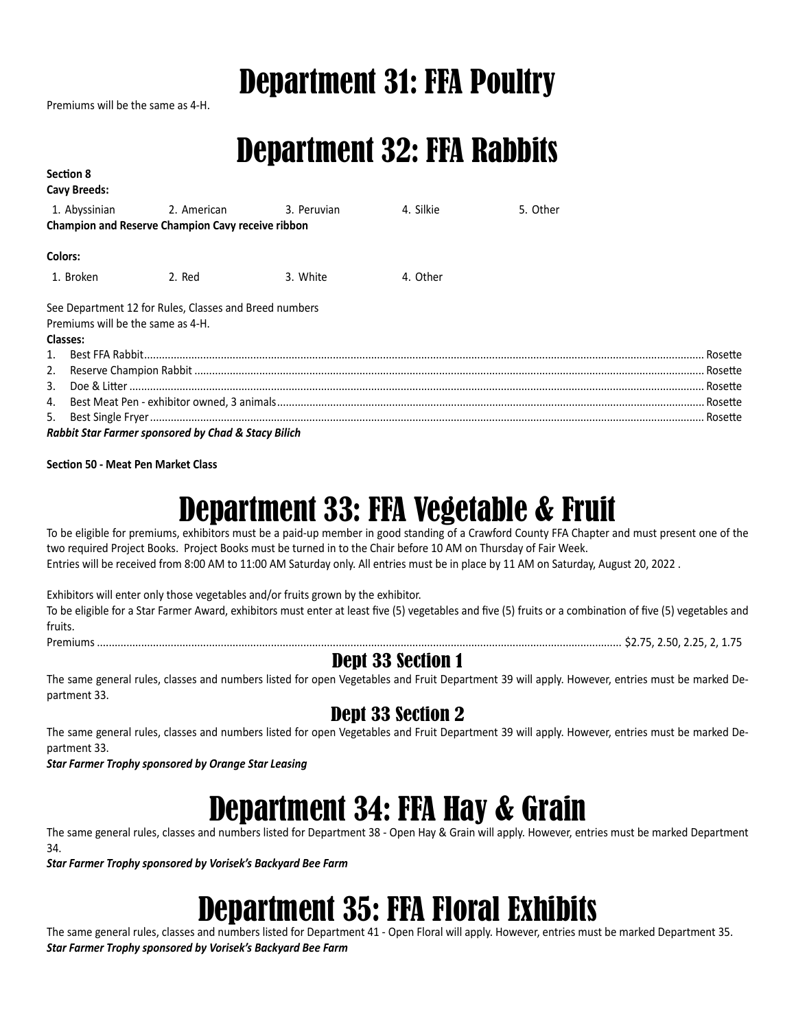## Department 31: FFA Poultry

Premiums will be the same as 4-H.

## Department 32: FFA Rabbits

| <b>Section 8</b><br>Cavy Breeds:  |                                                        |          |           |          |
|-----------------------------------|--------------------------------------------------------|----------|-----------|----------|
|                                   | 1. Abyssinian 2. American 3. Peruvian                  |          | 4. Silkie | 5. Other |
|                                   | Champion and Reserve Champion Cavy receive ribbon      |          |           |          |
| Colors:                           |                                                        |          |           |          |
| 1. Broken                         | 2. Red                                                 | 3. White | 4. Other  |          |
|                                   | See Department 12 for Rules, Classes and Breed numbers |          |           |          |
| Premiums will be the same as 4-H. |                                                        |          |           |          |
| <b>Classes:</b>                   |                                                        |          |           |          |
|                                   |                                                        |          |           |          |
|                                   |                                                        |          |           |          |
|                                   |                                                        |          |           |          |
|                                   |                                                        |          |           |          |
|                                   |                                                        |          |           |          |
|                                   | Rabbit Star Farmer sponsored by Chad & Stacy Bilich    |          |           |          |

**Section 50 - Meat Pen Market Class**

## Department 33: FFA Vegetable & Fruit

To be eligible for premiums, exhibitors must be a paid-up member in good standing of a Crawford County FFA Chapter and must present one of the two required Project Books. Project Books must be turned in to the Chair before 10 AM on Thursday of Fair Week. Entries will be received from 8:00 AM to 11:00 AM Saturday only. All entries must be in place by 11 AM on Saturday, August 20, 2022 .

Exhibitors will enter only those vegetables and/or fruits grown by the exhibitor.

To be eligible for a Star Farmer Award, exhibitors must enter at least five (5) vegetables and five (5) fruits or a combination of five (5) vegetables and fruits.

Premiums .................................................................................................................................................................................. \$2.75, 2.50, 2.25, 2, 1.75

### Dept 33 Section 1

The same general rules, classes and numbers listed for open Vegetables and Fruit Department 39 will apply. However, entries must be marked Department 33.

### Dept 33 Section 2

The same general rules, classes and numbers listed for open Vegetables and Fruit Department 39 will apply. However, entries must be marked Department 33.

*Star Farmer Trophy sponsored by Orange Star Leasing*

## Department 34: FFA Hay & Grain

The same general rules, classes and numbers listed for Department 38 - Open Hay & Grain will apply. However, entries must be marked Department 34.

*Star Farmer Trophy sponsored by Vorisek's Backyard Bee Farm*

## Department 35: FFA Floral Exhibits

The same general rules, classes and numbers listed for Department 41 - Open Floral will apply. However, entries must be marked Department 35. *Star Farmer Trophy sponsored by Vorisek's Backyard Bee Farm*